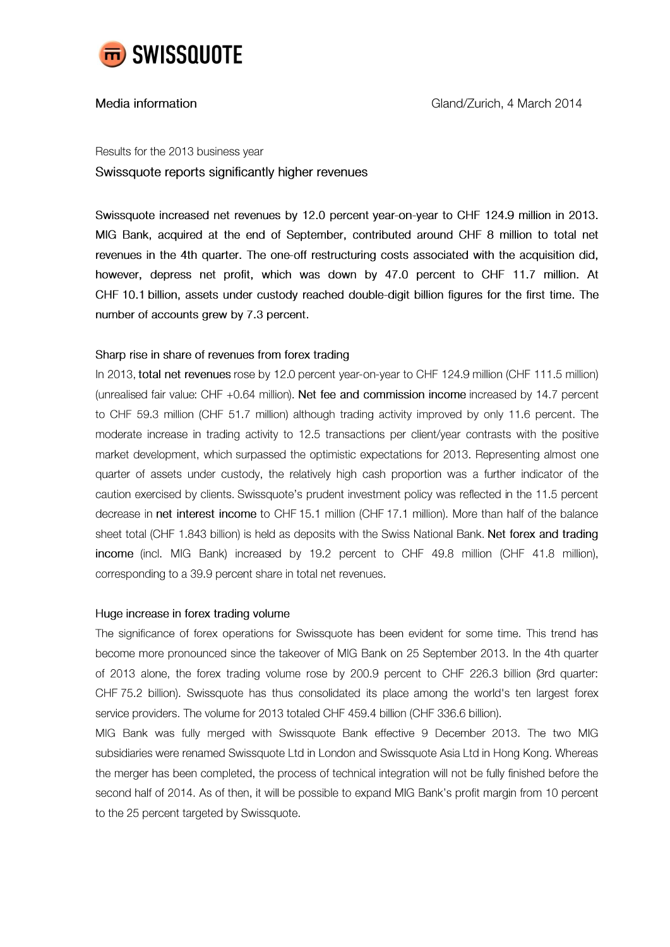

## Media information

Results for the 2013 business year Swissquote reports significantly higher revenues

Swissquote increased net revenues by 12.0 percent year-on-year to CHF 124.9 million in 2013. MIG Bank, acquired at the end of September, contributed around CHF 8 million to total net revenues in the 4th quarter. The one-off restructuring costs associated with the acquisition did, however, depress net profit, which was down by 47.0 percent to CHF 11.7 million. At CHF 10.1 billion, assets under custody reached double-digit billion figures for the first time. The number of accounts grew by 7.3 percent.

## Sharp rise in share of revenues from forex trading

In 2013, total net revenues rose by 12.0 percent year-on-year to CHF 124.9 million (CHF 111.5 million) (unrealised fair value: CHF +0.64 million). Net fee and commission income increased by 14.7 percent to CHF 59.3 million (CHF 51.7 million) although trading activity improved by only 11.6 percent. The moderate increase in trading activity to 12.5 transactions per client/year contrasts with the positive market development, which surpassed the optimistic expectations for 2013. Representing almost one quarter of assets under custody, the relatively high cash proportion was a further indicator of the caution exercised by clients. Swissquote's prudent investment policy was reflected in the 11.5 percent decrease in net interest income to CHF 15.1 million (CHF 17.1 million). More than half of the balance sheet total (CHF 1.843 billion) is held as deposits with the Swiss National Bank. Net forex and trading income (incl. MIG Bank) increased by 19.2 percent to CHF 49.8 million (CHF 41.8 million), corresponding to a 39.9 percent share in total net revenues.

## Huge increase in forex trading volume

The significance of forex operations for Swissquote has been evident for some time. This trend has become more pronounced since the takeover of MIG Bank on 25 September 2013. In the 4th quarter of 2013 alone, the forex trading volume rose by 200.9 percent to CHF 226.3 billion (3rd quarter: CHF 75.2 billion). Swissquote has thus consolidated its place among the world's ten largest forex service providers. The volume for 2013 totaled CHF 459.4 billion (CHF 336.6 billion).

MIG Bank was fully merged with Swissquote Bank effective 9 December 2013. The two MIG subsidiaries were renamed Swissquote Ltd in London and Swissquote Asia Ltd in Hong Kong. Whereas the merger has been completed, the process of technical integration will not be fully finished before the second half of 2014. As of then, it will be possible to expand MIG Bank's profit margin from 10 percent to the 25 percent targeted by Swissquote.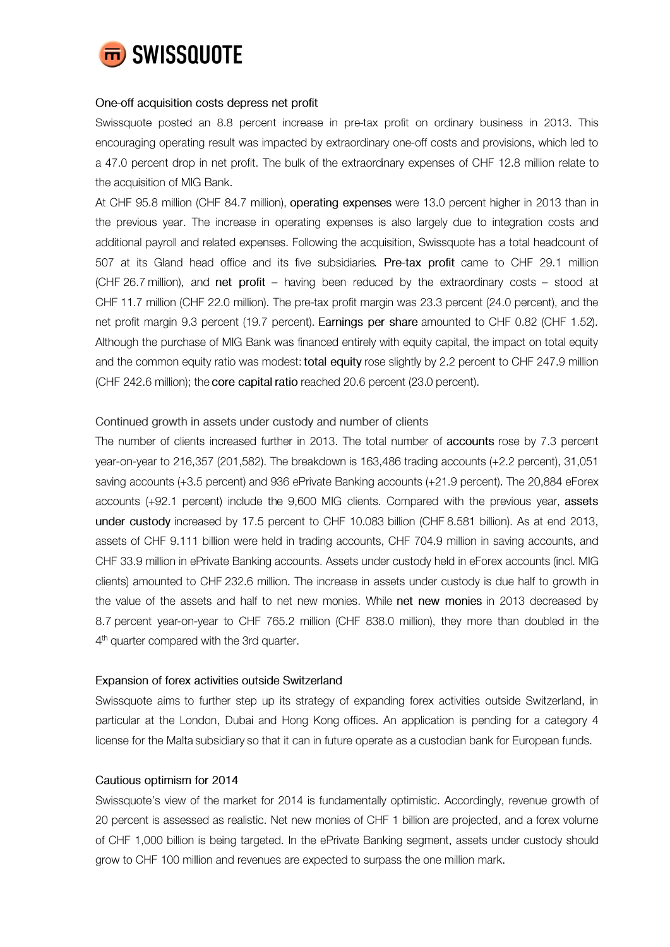

## One-off acquisition costs depress net profit

Swissquote posted an 8.8 percent increase in pre-tax profit on ordinary business in 2013. This encouraging operating result was impacted by extraordinary one-off costs and provisions, which led to a 47.0 percent drop in net profit. The bulk of the extraordinary expenses of CHF 12.8 million relate to the acquisition of MIG Bank.

At CHF 95.8 million (CHF 84.7 million), operating expenses were 13.0 percent higher in 2013 than in the previous year. The increase in operating expenses is also largely due to integration costs and additional payroll and related expenses. Following the acquisition, Swissquote has a total headcount of 507 at its Gland head office and its five subsidiaries. Pre-tax profit came to CHF 29.1 million (CHF 26.7 million), and net profit - having been reduced by the extraordinary costs - stood at CHF 11.7 million (CHF 22.0 million). The pre-tax profit margin was 23.3 percent (24.0 percent), and the net profit margin 9.3 percent (19.7 percent). Earnings per share amounted to CHF 0.82 (CHF 1.52). Although the purchase of MIG Bank was financed entirely with equity capital, the impact on total equity and the common equity ratio was modest: total equity rose slightly by 2.2 percent to CHF 247.9 million (CHF 242.6 million); the core capital ratio reached 20.6 percent (23.0 percent).

## Continued growth in assets under custody and number of clients

The number of clients increased further in 2013. The total number of accounts rose by 7.3 percent year-on-year to 216,357 (201,582). The breakdown is 163,486 trading accounts (+2.2 percent), 31,051 saving accounts (+3.5 percent) and 936 ePrivate Banking accounts (+21.9 percent). The 20,884 eForex accounts (+92.1 percent) include the 9,600 MIG clients. Compared with the previous year, assets under custody increased by 17.5 percent to CHF 10.083 billion (CHF 8.581 billion). As at end 2013, assets of CHF 9.111 billion were held in trading accounts, CHF 704.9 million in saving accounts, and CHF 33.9 million in ePrivate Banking accounts. Assets under custody held in eForex accounts (incl. MIG clients) amounted to CHF 232.6 million. The increase in assets under custody is due half to growth in the value of the assets and half to net new monies. While net new monies in 2013 decreased by 8.7 percent year-on-year to CHF 765.2 million (CHF 838.0 million), they more than doubled in the 4<sup>th</sup> quarter compared with the 3rd quarter.

## Expansion of forex activities outside Switzerland

Swissquote aims to further step up its strategy of expanding forex activities outside Switzerland, in particular at the London, Dubai and Hong Kong offices. An application is pending for a category 4 license for the Malta subsidiary so that it can in future operate as a custodian bank for European funds.

## Cautious optimism for 2014

Swissquote's view of the market for 2014 is fundamentally optimistic. Accordingly, revenue growth of 20 percent is assessed as realistic. Net new monies of CHF 1 billion are projected, and a forex volume of CHF 1,000 billion is being targeted. In the ePrivate Banking segment, assets under custody should grow to CHF 100 million and revenues are expected to surpass the one million mark.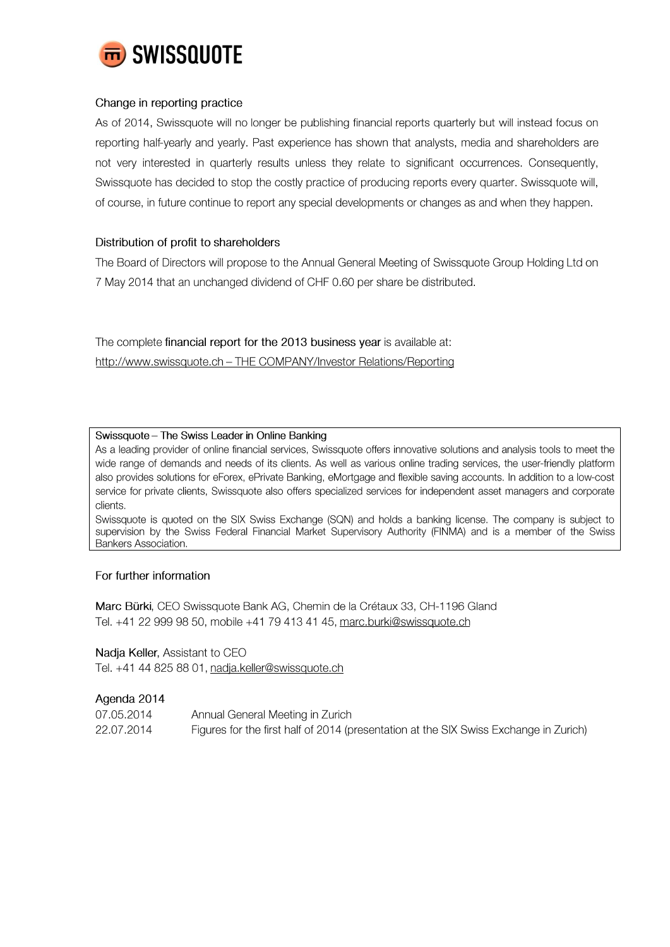

# Change in reporting practice

As of 2014, Swissquote will no longer be publishing financial reports quarterly but will instead focus on reporting half-yearly and yearly. Past experience has shown that analysts, media and shareholders are not very interested in quarterly results unless they relate to significant occurrences. Consequently, Swissquote has decided to stop the costly practice of producing reports every quarter. Swissquote will, of course, in future continue to report any special developments or changes as and when they happen.

# Distribution of profit to shareholders

The Board of Directors will propose to the Annual General Meeting of Swissquote Group Holding Ltd on 7 May 2014 that an unchanged dividend of CHF 0.60 per share be distributed.

The complete financial report for the 2013 business year is available at: http://www.swissquote.ch - THE COMPANY/Investor Relations/Reporting

#### Swissquote - The Swiss Leader in Online Banking

As a leading provider of online financial services, Swissquote offers innovative solutions and analysis tools to meet the wide range of demands and needs of its clients. As well as various online trading services, the user-friendly platform also provides solutions for eForex, ePrivate Banking, eMortgage and flexible saving accounts. In addition to a low-cost service for private clients, Swissquote also offers specialized services for independent asset managers and corporate clients.

Swissquote is quoted on the SIX Swiss Exchange (SQN) and holds a banking license. The company is subject to supervision by the Swiss Federal Financial Market Supervisory Authority (FINMA) and is a member of the Swiss **Bankers Association.** 

## For further information

Marc Bürki, CEO Swissquote Bank AG, Chemin de la Crétaux 33, CH-1196 Gland Tel. +41 22 999 98 50, mobile +41 79 413 41 45, marc.burki@swissquote.ch

## Nadja Keller, Assistant to CEO

Tel. +41 44 825 88 01, nadja.keller@swissquote.ch

## Agenda 2014

| 07.05.2014 | Annual General Meeting in Zurich                                                      |
|------------|---------------------------------------------------------------------------------------|
| 22.07.2014 | Figures for the first half of 2014 (presentation at the SIX Swiss Exchange in Zurich) |